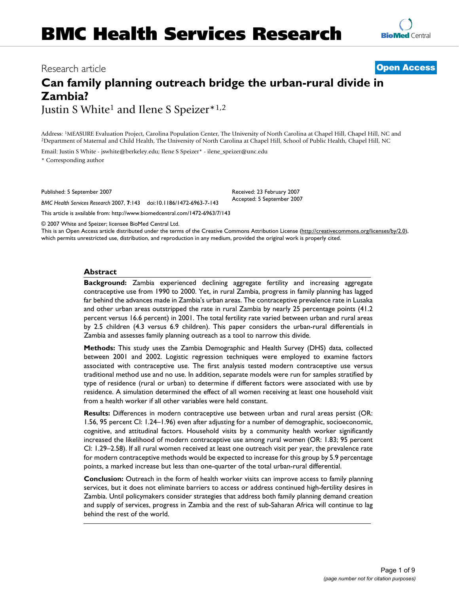# Research article **[Open Access](http://www.biomedcentral.com/info/about/charter/)**

# **Can family planning outreach bridge the urban-rural divide in Zambia?** Justin S White<sup>1</sup> and Ilene S Speizer\*<sup>1,2</sup>

Address: <sup>1</sup>MEASURE Evaluation Project, Carolina Population Center, The University of North Carolina at Chapel Hill, Chapel Hill, NC and <sup>2</sup>Department of Maternal and Child Health, The University of North Carolina at Chape

Email: Justin S White - jswhite@berkeley.edu; Ilene S Speizer\* - ilene\_speizer@unc.edu \* Corresponding author

Published: 5 September 2007

*BMC Health Services Research* 2007, **7**:143 doi:10.1186/1472-6963-7-143

[This article is available from: http://www.biomedcentral.com/1472-6963/7/143](http://www.biomedcentral.com/1472-6963/7/143)

© 2007 White and Speizer; licensee BioMed Central Ltd.

This is an Open Access article distributed under the terms of the Creative Commons Attribution License [\(http://creativecommons.org/licenses/by/2.0\)](http://creativecommons.org/licenses/by/2.0), which permits unrestricted use, distribution, and reproduction in any medium, provided the original work is properly cited.

Received: 23 February 2007 Accepted: 5 September 2007

# **Abstract**

**Background:** Zambia experienced declining aggregate fertility and increasing aggregate contraceptive use from 1990 to 2000. Yet, in rural Zambia, progress in family planning has lagged far behind the advances made in Zambia's urban areas. The contraceptive prevalence rate in Lusaka and other urban areas outstripped the rate in rural Zambia by nearly 25 percentage points (41.2 percent versus 16.6 percent) in 2001. The total fertility rate varied between urban and rural areas by 2.5 children (4.3 versus 6.9 children). This paper considers the urban-rural differentials in Zambia and assesses family planning outreach as a tool to narrow this divide.

**Methods:** This study uses the Zambia Demographic and Health Survey (DHS) data, collected between 2001 and 2002. Logistic regression techniques were employed to examine factors associated with contraceptive use. The first analysis tested modern contraceptive use versus traditional method use and no use. In addition, separate models were run for samples stratified by type of residence (rural or urban) to determine if different factors were associated with use by residence. A simulation determined the effect of all women receiving at least one household visit from a health worker if all other variables were held constant.

**Results:** Differences in modern contraceptive use between urban and rural areas persist (OR: 1.56, 95 percent CI: 1.24–1.96) even after adjusting for a number of demographic, socioeconomic, cognitive, and attitudinal factors. Household visits by a community health worker significantly increased the likelihood of modern contraceptive use among rural women (OR: 1.83; 95 percent CI: 1.29–2.58). If all rural women received at least one outreach visit per year, the prevalence rate for modern contraceptive methods would be expected to increase for this group by 5.9 percentage points, a marked increase but less than one-quarter of the total urban-rural differential.

**Conclusion:** Outreach in the form of health worker visits can improve access to family planning services, but it does not eliminate barriers to access or address continued high-fertility desires in Zambia. Until policymakers consider strategies that address both family planning demand creation and supply of services, progress in Zambia and the rest of sub-Saharan Africa will continue to lag behind the rest of the world.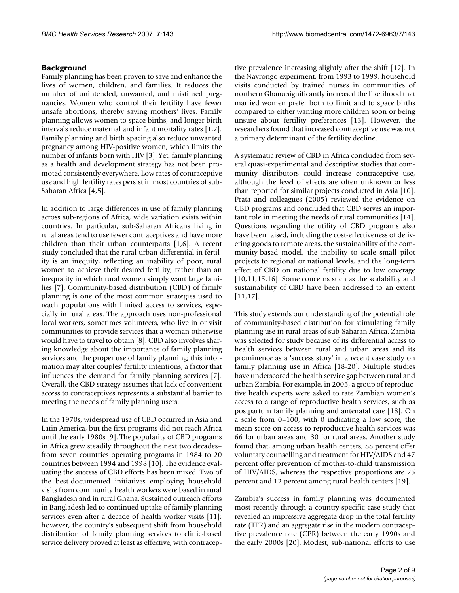# **Background**

Family planning has been proven to save and enhance the lives of women, children, and families. It reduces the number of unintended, unwanted, and mistimed pregnancies. Women who control their fertility have fewer unsafe abortions, thereby saving mothers' lives. Family planning allows women to space births, and longer birth intervals reduce maternal and infant mortality rates [1,2]. Family planning and birth spacing also reduce unwanted pregnancy among HIV-positive women, which limits the number of infants born with HIV [3]. Yet, family planning as a health and development strategy has not been promoted consistently everywhere. Low rates of contraceptive use and high fertility rates persist in most countries of sub-Saharan Africa [4,5].

In addition to large differences in use of family planning across sub-regions of Africa, wide variation exists within countries. In particular, sub-Saharan Africans living in rural areas tend to use fewer contraceptives and have more children than their urban counterparts [1,6]. A recent study concluded that the rural-urban differential in fertility is an inequity, reflecting an inability of poor, rural women to achieve their desired fertility, rather than an inequality in which rural women simply want large families [7]. Community-based distribution (CBD) of family planning is one of the most common strategies used to reach populations with limited access to services, especially in rural areas. The approach uses non-professional local workers, sometimes volunteers, who live in or visit communities to provide services that a woman otherwise would have to travel to obtain [8]. CBD also involves sharing knowledge about the importance of family planning services and the proper use of family planning; this information may alter couples' fertility intentions, a factor that influences the demand for family planning services [7]. Overall, the CBD strategy assumes that lack of convenient access to contraceptives represents a substantial barrier to meeting the needs of family planning users.

In the 1970s, widespread use of CBD occurred in Asia and Latin America, but the first programs did not reach Africa until the early 1980s [9]. The popularity of CBD programs in Africa grew steadily throughout the next two decades– from seven countries operating programs in 1984 to 20 countries between 1994 and 1998 [10]. The evidence evaluating the success of CBD efforts has been mixed. Two of the best-documented initiatives employing household visits from community health workers were based in rural Bangladesh and in rural Ghana. Sustained outreach efforts in Bangladesh led to continued uptake of family planning services even after a decade of health worker visits [11]; however, the country's subsequent shift from household distribution of family planning services to clinic-based service delivery proved at least as effective, with contraceptive prevalence increasing slightly after the shift [12]. In the Navrongo experiment, from 1993 to 1999, household visits conducted by trained nurses in communities of northern Ghana significantly increased the likelihood that married women prefer both to limit and to space births compared to either wanting more children soon or being unsure about fertility preferences [13]. However, the researchers found that increased contraceptive use was not a primary determinant of the fertility decline.

A systematic review of CBD in Africa concluded from several quasi-experimental and descriptive studies that community distributors could increase contraceptive use, although the level of effects are often unknown or less than reported for similar projects conducted in Asia [10]. Prata and colleagues (2005) reviewed the evidence on CBD programs and concluded that CBD serves an important role in meeting the needs of rural communities [14]. Questions regarding the utility of CBD programs also have been raised, including the cost-effectiveness of delivering goods to remote areas, the sustainability of the community-based model, the inability to scale small pilot projects to regional or national levels, and the long-term effect of CBD on national fertility due to low coverage [10,11,15,16]. Some concerns such as the scalability and sustainability of CBD have been addressed to an extent [11,17].

This study extends our understanding of the potential role of community-based distribution for stimulating family planning use in rural areas of sub-Saharan Africa. Zambia was selected for study because of its differential access to health services between rural and urban areas and its prominence as a 'success story' in a recent case study on family planning use in Africa [18-20]. Multiple studies have underscored the health service gap between rural and urban Zambia. For example, in 2005, a group of reproductive health experts were asked to rate Zambian women's access to a range of reproductive health services, such as postpartum family planning and antenatal care [18]. On a scale from 0–100, with 0 indicating a low score, the mean score on access to reproductive health services was 66 for urban areas and 30 for rural areas. Another study found that, among urban health centers, 88 percent offer voluntary counselling and treatment for HIV/AIDS and 47 percent offer prevention of mother-to-child transmission of HIV/AIDS, whereas the respective proportions are 25 percent and 12 percent among rural health centers [19].

Zambia's success in family planning was documented most recently through a country-specific case study that revealed an impressive aggregate drop in the total fertility rate (TFR) and an aggregate rise in the modern contraceptive prevalence rate (CPR) between the early 1990s and the early 2000s [20]. Modest, sub-national efforts to use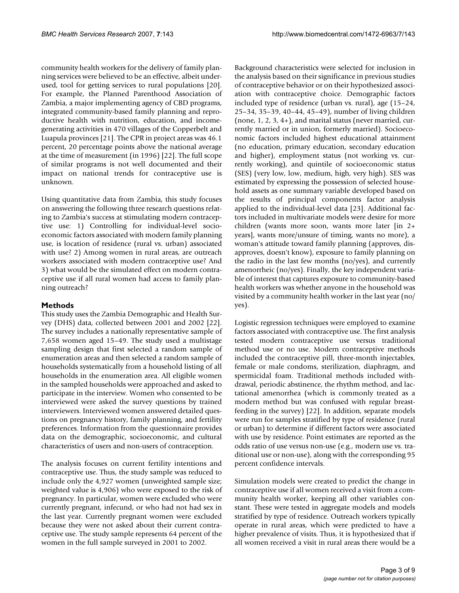community health workers for the delivery of family planning services were believed to be an effective, albeit underused, tool for getting services to rural populations [20]. For example, the Planned Parenthood Association of Zambia, a major implementing agency of CBD programs, integrated community-based family planning and reproductive health with nutrition, education, and incomegenerating activities in 470 villages of the Copperbelt and Luapula provinces [21]. The CPR in project areas was 46.1 percent, 20 percentage points above the national average at the time of measurement (in 1996) [22]. The full scope of similar programs is not well documented and their impact on national trends for contraceptive use is unknown.

Using quantitative data from Zambia, this study focuses on answering the following three research questions relating to Zambia's success at stimulating modern contraceptive use: 1) Controlling for individual-level socioeconomic factors associated with modern family planning use, is location of residence (rural vs. urban) associated with use? 2) Among women in rural areas, are outreach workers associated with modern contraceptive use? And 3) what would be the simulated effect on modern contraceptive use if all rural women had access to family planning outreach?

# **Methods**

This study uses the Zambia Demographic and Health Survey (DHS) data, collected between 2001 and 2002 [22]. The survey includes a nationally representative sample of 7,658 women aged 15–49. The study used a multistage sampling design that first selected a random sample of enumeration areas and then selected a random sample of households systematically from a household listing of all households in the enumeration area. All eligible women in the sampled households were approached and asked to participate in the interview. Women who consented to be interviewed were asked the survey questions by trained interviewers. Interviewed women answered detailed questions on pregnancy history, family planning, and fertility preferences. Information from the questionnaire provides data on the demographic, socioeconomic, and cultural characteristics of users and non-users of contraception.

The analysis focuses on current fertility intentions and contraceptive use. Thus, the study sample was reduced to include only the 4,927 women (unweighted sample size; weighted value is 4,906) who were exposed to the risk of pregnancy. In particular, women were excluded who were currently pregnant, infecund, or who had not had sex in the last year. Currently pregnant women were excluded because they were not asked about their current contraceptive use. The study sample represents 64 percent of the women in the full sample surveyed in 2001 to 2002.

Background characteristics were selected for inclusion in the analysis based on their significance in previous studies of contraceptive behavior or on their hypothesized association with contraceptive choice. Demographic factors included type of residence (urban vs. rural), age (15–24, 25–34, 35–39, 40–44, 45–49), number of living children (none, 1, 2, 3, 4+), and marital status (never married, currently married or in union, formerly married). Socioeconomic factors included highest educational attainment (no education, primary education, secondary education and higher), employment status (not working vs. currently working), and quintile of socioeconomic status (SES) (very low, low, medium, high, very high). SES was estimated by expressing the possession of selected household assets as one summary variable developed based on the results of principal components factor analysis applied to the individual-level data [23]. Additional factors included in multivariate models were desire for more children (wants more soon, wants more later [in 2+ years], wants more/unsure of timing, wants no more), a woman's attitude toward family planning (approves, disapproves, doesn't know), exposure to family planning on the radio in the last few months (no/yes), and currently amenorrheic (no/yes). Finally, the key independent variable of interest that captures exposure to community-based health workers was whether anyone in the household was visited by a community health worker in the last year (no/ yes).

Logistic regression techniques were employed to examine factors associated with contraceptive use. The first analysis tested modern contraceptive use versus traditional method use or no use. Modern contraceptive methods included the contraceptive pill, three-month injectables, female or male condoms, sterilization, diaphragm, and spermicidal foam. Traditional methods included withdrawal, periodic abstinence, the rhythm method, and lactational amenorrhea (which is commonly treated as a modern method but was confused with regular breastfeeding in the survey) [22]. In addition, separate models were run for samples stratified by type of residence (rural or urban) to determine if different factors were associated with use by residence. Point estimates are reported as the odds ratio of use versus non-use (e.g., modern use vs. traditional use or non-use), along with the corresponding 95 percent confidence intervals.

Simulation models were created to predict the change in contraceptive use if all women received a visit from a community health worker, keeping all other variables constant. These were tested in aggregate models and models stratified by type of residence. Outreach workers typically operate in rural areas, which were predicted to have a higher prevalence of visits. Thus, it is hypothesized that if all women received a visit in rural areas there would be a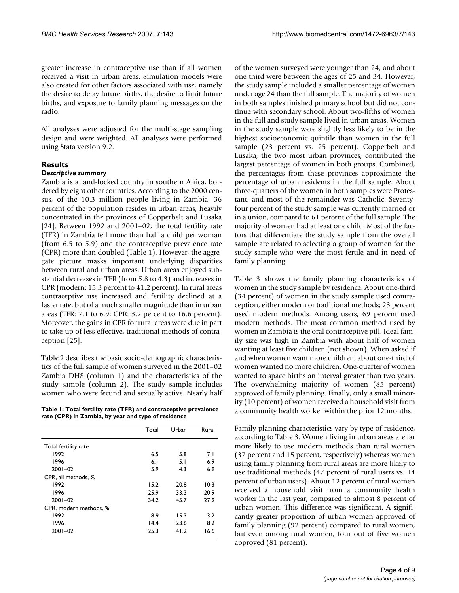greater increase in contraceptive use than if all women received a visit in urban areas. Simulation models were also created for other factors associated with use, namely the desire to delay future births, the desire to limit future births, and exposure to family planning messages on the radio.

All analyses were adjusted for the multi-stage sampling design and were weighted. All analyses were performed using Stata version 9.2.

# **Results**

#### *Descriptive summary*

Zambia is a land-locked country in southern Africa, bordered by eight other countries. According to the 2000 census, of the 10.3 million people living in Zambia, 36 percent of the population resides in urban areas, heavily concentrated in the provinces of Copperbelt and Lusaka [24]. Between 1992 and 2001–02, the total fertility rate (TFR) in Zambia fell more than half a child per woman (from 6.5 to 5.9) and the contraceptive prevalence rate (CPR) more than doubled (Table 1). However, the aggregate picture masks important underlying disparities between rural and urban areas. Urban areas enjoyed substantial decreases in TFR (from 5.8 to 4.3) and increases in CPR (modern: 15.3 percent to 41.2 percent). In rural areas contraceptive use increased and fertility declined at a faster rate, but of a much smaller magnitude than in urban areas (TFR: 7.1 to 6.9; CPR: 3.2 percent to 16.6 percent). Moreover, the gains in CPR for rural areas were due in part to take-up of less effective, traditional methods of contraception [25].

Table 2 describes the basic socio-demographic characteristics of the full sample of women surveyed in the 2001–02 Zambia DHS (column 1) and the characteristics of the study sample (column 2). The study sample includes women who were fecund and sexually active. Nearly half

**Table 1: Total fertility rate (TFR) and contraceptive prevalence rate (CPR) in Zambia, by year and type of residence**

|                        | Total | Urban | Rural |
|------------------------|-------|-------|-------|
| Total fertility rate   |       |       |       |
| 1992                   | 6.5   | 5.8   | 7.I   |
| 1996                   | 6.1   | 5.1   | 6.9   |
| $2001 - 02$            | 5.9   | 4.3   | 6.9   |
| CPR, all methods, %    |       |       |       |
| 1992                   | 15.2  | 20.8  | 10.3  |
| 1996                   | 25.9  | 33.3  | 20.9  |
| $2001 - 02$            | 34.2  | 45.7  | 27.9  |
| CPR, modern methods, % |       |       |       |
| 1992                   | 8.9   | 15.3  | 3.2   |
| 1996                   | 14.4  | 23.6  | 8.2   |
| $2001 - 02$            | 25.3  | 41.2  | 16.6  |

of the women surveyed were younger than 24, and about one-third were between the ages of 25 and 34. However, the study sample included a smaller percentage of women under age 24 than the full sample. The majority of women in both samples finished primary school but did not continue with secondary school. About two-fifths of women in the full and study sample lived in urban areas. Women in the study sample were slightly less likely to be in the highest socioeconomic quintile than women in the full sample (23 percent vs. 25 percent). Copperbelt and Lusaka, the two most urban provinces, contributed the largest percentage of women in both groups. Combined, the percentages from these provinces approximate the percentage of urban residents in the full sample. About three-quarters of the women in both samples were Protestant, and most of the remainder was Catholic. Seventyfour percent of the study sample was currently married or in a union, compared to 61 percent of the full sample. The majority of women had at least one child. Most of the factors that differentiate the study sample from the overall sample are related to selecting a group of women for the study sample who were the most fertile and in need of family planning.

Table 3 shows the family planning characteristics of women in the study sample by residence. About one-third (34 percent) of women in the study sample used contraception, either modern or traditional methods; 23 percent used modern methods. Among users, 69 percent used modern methods. The most common method used by women in Zambia is the oral contraceptive pill. Ideal family size was high in Zambia with about half of women wanting at least five children (not shown). When asked if and when women want more children, about one-third of women wanted no more children. One-quarter of women wanted to space births an interval greater than two years. The overwhelming majority of women (85 percent) approved of family planning. Finally, only a small minority (10 percent) of women received a household visit from a community health worker within the prior 12 months.

Family planning characteristics vary by type of residence, according to Table 3. Women living in urban areas are far more likely to use modern methods than rural women (37 percent and 15 percent, respectively) whereas women using family planning from rural areas are more likely to use traditional methods (47 percent of rural users vs. 14 percent of urban users). About 12 percent of rural women received a household visit from a community health worker in the last year, compared to almost 8 percent of urban women. This difference was significant. A significantly greater proportion of urban women approved of family planning (92 percent) compared to rural women, but even among rural women, four out of five women approved (81 percent).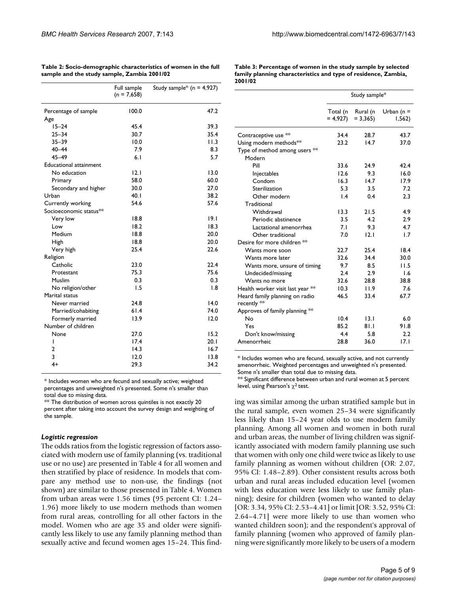|                                    | Full sample<br>$(n = 7,658)$ | Study sample* ( $n = 4,927$ ) |
|------------------------------------|------------------------------|-------------------------------|
| Percentage of sample               | 100.0                        | 47.2                          |
| Age                                |                              |                               |
| $15 - 24$                          | 45.4                         | 39.3                          |
| $25 - 34$                          | 30.7                         | 35.4                          |
| $35 - 39$                          | 10.0                         | 11.3                          |
| $40 - 44$                          | 7.9                          | 8.3                           |
| $45 - 49$                          | 6.1                          | 5.7                           |
| <b>Educational attainment</b>      |                              |                               |
| No education                       | 12.1                         | 13.0                          |
| Primary                            | 58.0                         | 60.0                          |
| Secondary and higher               | 30.0                         | 27.0                          |
| Urban                              | 40.1                         | 38.2                          |
| Currently working                  | 54.6                         | 57.6                          |
| Socioeconomic status <sup>**</sup> |                              |                               |
| Very low                           | 18.8                         | 19.1                          |
| Low                                | 18.2                         | 18.3                          |
| Medium                             | 18.8                         | 20.0                          |
| High                               | 18.8                         | 20.0                          |
| Very high                          | 25.4                         | 22.6                          |
| Religion                           |                              |                               |
| Catholic                           | 23.0                         | 22.4                          |
| Protestant                         | 75.3                         | 75.6                          |
| Muslim                             | 0.3                          | 0.3                           |
| No religion/other                  | 1.5                          | 1.8                           |
| Marital status                     |                              |                               |
| Never married                      | 24.8                         | 14.0                          |
| Married/cohabiting                 | 61.4                         | 74.0                          |
| Formerly married                   | 13.9                         | 12.0                          |
| Number of children                 |                              |                               |
| None                               | 27.0                         | 15.2                          |
| ı                                  | 17.4                         | 20.1                          |
| $\overline{2}$                     | 14.3                         | 16.7                          |
| 3                                  | 12.0                         | 13.8                          |
| $4+$                               | 29.3                         | 34.2                          |

**Table 2: Socio-demographic characteristics of women in the full sample and the study sample, Zambia 2001/02**

**Table 3: Percentage of women in the study sample by selected family planning characteristics and type of residence, Zambia, 2001/02**

|                                               | Study sample*         |                       |                         |  |
|-----------------------------------------------|-----------------------|-----------------------|-------------------------|--|
|                                               | Total (n<br>$= 4.927$ | Rural (n<br>$= 3,365$ | Urban ( $n =$<br>1,562) |  |
| Contraceptive use **                          | 34.4                  | 28.7                  | 43.7                    |  |
| Using modern methods**                        | 23.2                  | 14.7                  | 37.0                    |  |
| Type of method among users $**$               |                       |                       |                         |  |
| Modern                                        |                       |                       |                         |  |
| Pill                                          | 33.6                  | 24.9                  | 42.4                    |  |
| Injectables                                   | 12.6                  | 9.3                   | 16.0                    |  |
| Condom                                        | 16.3                  | 14.7                  | 17.9                    |  |
| Sterilization                                 | 5.3                   | 3.5                   | 7.2                     |  |
| Other modern                                  | $\overline{1.4}$      | 0.4                   | 2.3                     |  |
| Traditional                                   |                       |                       |                         |  |
| Withdrawal                                    | 13.3                  | 21.5                  | 4.9                     |  |
| Periodic abstinence                           | 3.5                   | 4.2                   | 2.9                     |  |
| Lactational amenorrhea                        | 7.1                   | 9.3                   | 4.7                     |  |
| Other traditional                             | 7.0                   | 12.1                  | 1.7                     |  |
| Desire for more children **                   |                       |                       |                         |  |
| Wants more soon                               | 22.7                  | 25.4                  | 18.4                    |  |
| Wants more later                              | 32.6                  | 34.4                  | 30.0                    |  |
| Wants more, unsure of timing                  | 9.7                   | 8.5                   | 11.5                    |  |
| Undecided/missing                             | 2.4                   | 2.9                   | I 6                     |  |
| Wants no more                                 | 32.6                  | 28.8                  | 38.8                    |  |
| Health worker visit last year **              | 10.3                  | 11.9                  | 7.6                     |  |
| Heard family planning on radio<br>recently ** | 46.5                  | 33.4                  | 67.7                    |  |
| Approves of family planning $**$              |                       |                       |                         |  |
| No                                            | 10.4                  | 13.1                  | 6.0                     |  |
| Yes                                           | 85.2                  | 81.I                  | 91.8                    |  |
| Don't know/missing                            | 4.4                   | 5.8                   | 2.2                     |  |
| Amenorrheic                                   | 28.8                  | 36.0                  | 17.1                    |  |

\* Includes women who are fecund, sexually active, and not currently amenorrheic. Weighted percentages and unweighted n's presented. Some n's smaller than total due to missing data.

\*\* Significant difference between urban and rural women at 5 percent level, using Pearson's  $\chi^2$  test.

ing was similar among the urban stratified sample but in the rural sample, even women 25–34 were significantly less likely than 15–24 year olds to use modern family planning. Among all women and women in both rural and urban areas, the number of living children was significantly associated with modern family planning use such that women with only one child were twice as likely to use family planning as women without children (OR: 2.07, 95% CI: 1.48–2.89). Other consistent results across both urban and rural areas included education level (women with less education were less likely to use family planning); desire for children (women who wanted to delay [OR: 3.34, 95% CI: 2.53–4.41] or limit [OR: 3.52, 95% CI: 2.64–4.71] were more likely to use than women who wanted children soon); and the respondent's approval of family planning (women who approved of family planning were significantly more likely to be users of a modern

\* Includes women who are fecund and sexually active; weighted percentages and unweighted n's presented. Some n's smaller than total due to missing data.

\*\* The distribution of women across quintiles is not exactly 20 percent after taking into account the survey design and weighting of the sample.

#### *Logistic regression*

The odds ratios from the logistic regression of factors associated with modern use of family planning (vs. traditional use or no use) are presented in Table 4 for all women and then stratified by place of residence. In models that compare any method use to non-use, the findings (not shown) are similar to those presented in Table 4. Women from urban areas were 1.56 times (95 percent CI: 1.24– 1.96) more likely to use modern methods than women from rural areas, controlling for all other factors in the model. Women who are age 35 and older were significantly less likely to use any family planning method than sexually active and fecund women ages 15–24. This find-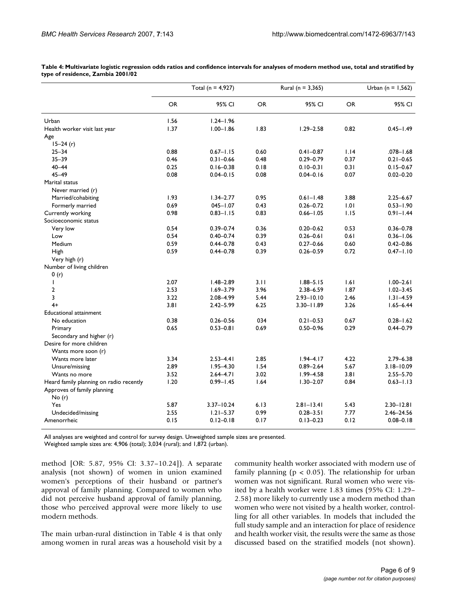|                                         | Total ( $n = 4,927$ ) |                | Rural ( $n = 3,365$ ) | Urban (n = $1,562$ ) |           |                |
|-----------------------------------------|-----------------------|----------------|-----------------------|----------------------|-----------|----------------|
|                                         | <b>OR</b>             | 95% CI         | <b>OR</b>             | 95% CI               | <b>OR</b> | 95% CI         |
| Urban                                   | 1.56                  | $1.24 - 1.96$  |                       |                      |           |                |
| Health worker visit last year           | 1.37                  | $1.00 - 1.86$  | 1.83                  | $1.29 - 2.58$        | 0.82      | $0.45 - 1.49$  |
| Age                                     |                       |                |                       |                      |           |                |
| $15 - 24$ (r)                           |                       |                |                       |                      |           |                |
| $25 - 34$                               | 0.88                  | $0.67 - 1.15$  | 0.60                  | $0.41 - 0.87$        | 1.14      | .078-1.68      |
| $35 - 39$                               | 0.46                  | $0.31 - 0.66$  | 0.48                  | $0.29 - 0.79$        | 0.37      | $0.21 - 0.65$  |
| $40 - 44$                               | 0.25                  | $0.16 - 0.38$  | 0.18                  | $0.10 - 0.31$        | 0.31      | $0.15 - 0.67$  |
| $45 - 49$                               | 0.08                  | $0.04 - 0.15$  | 0.08                  | $0.04 - 0.16$        | 0.07      | $0.02 - 0.20$  |
| Marital status                          |                       |                |                       |                      |           |                |
| Never married (r)                       |                       |                |                       |                      |           |                |
| Married/cohabiting                      | 1.93                  | $1.34 - 2.77$  | 0.95                  | $0.61 - 1.48$        | 3.88      | $2.25 - 6.67$  |
| Formerly married                        | 0.69                  | $045 - 1.07$   | 0.43                  | $0.26 - 0.72$        | 1.01      | $0.53 - 1.90$  |
| Currently working                       | 0.98                  | $0.83 - 1.15$  | 0.83                  | $0.66 - 1.05$        | 1.15      | $0.91 - 1.44$  |
| Socioeconomic status                    |                       |                |                       |                      |           |                |
| Very low                                | 0.54                  | $0.39 - 0.74$  | 0.36                  | $0.20 - 0.62$        | 0.53      | 0.36-0.78      |
| Low                                     | 0.54                  | $0.40 - 0.74$  | 0.39                  | $0.26 - 0.61$        | 0.61      | $0.36 - 1.06$  |
| Medium                                  | 0.59                  | $0.44 - 0.78$  | 0.43                  | $0.27 - 0.66$        | 0.60      | $0.42 - 0.86$  |
| High                                    | 0.59                  | $0.44 - 0.78$  | 0.39                  | $0.26 - 0.59$        | 0.72      | $0.47 - 1.10$  |
| Very high (r)                           |                       |                |                       |                      |           |                |
| Number of living children               |                       |                |                       |                      |           |                |
| 0(r)                                    |                       |                |                       |                      |           |                |
| ı                                       | 2.07                  | $1.48 - 2.89$  | 3.11                  | $1.88 - 5.15$        | 1.61      | $1.00 - 2.61$  |
| $\overline{2}$                          | 2.53                  | $1.69 - 3.79$  | 3.96                  | $2.38 - 6.59$        | 1.87      | $1.02 - 3.45$  |
| 3                                       | 3.22                  | $2.08 - 4.99$  | 5.44                  | $2.93 - 10.10$       | 2.46      | $1.31 - 4.59$  |
| $4+$                                    | 3.81                  | $2.42 - 5.99$  | 6.25                  | $3.30 - 11.89$       | 3.26      | $1.65 - 6.44$  |
| <b>Educational attainment</b>           |                       |                |                       |                      |           |                |
| No education                            | 0.38                  | $0.26 - 0.56$  | 034                   | $0.21 - 0.53$        | 0.67      | $0.28 - 1.62$  |
| Primary                                 | 0.65                  | $0.53 - 0.81$  | 0.69                  | $0.50 - 0.96$        | 0.29      | $0.44 - 0.79$  |
| Secondary and higher (r)                |                       |                |                       |                      |           |                |
| Desire for more children                |                       |                |                       |                      |           |                |
| Wants more soon (r)                     |                       |                |                       |                      |           |                |
| Wants more later                        | 3.34                  | $2.53 - 4.41$  | 2.85                  | $1.94 - 4.17$        | 4.22      | $2.79 - 6.38$  |
| Unsure/missing                          | 2.89                  | $1.95 - 4.30$  | 1.54                  | $0.89 - 2.64$        | 5.67      | $3.18 - 10.09$ |
| Wants no more                           | 3.52                  | $2.64 - 4.71$  | 3.02                  | $1.99 - 4.58$        | 3.81      | $2.55 - 5.70$  |
| Heard family planning on radio recently | 1.20                  | $0.99 - 1.45$  | 1.64                  | $1.30 - 2.07$        | 0.84      | $0.63 - 1.13$  |
| Approves of family planning             |                       |                |                       |                      |           |                |
| No(r)                                   |                       |                |                       |                      |           |                |
| Yes                                     | 5.87                  | $3.37 - 10.24$ | 6.13                  | $2.81 - 13.41$       | 5.43      | $2.30 - 12.81$ |
| Undecided/missing                       | 2.55                  | $1.21 - 5.37$  | 0.99                  | $0.28 - 3.51$        | 7.77      | $2.46 - 24.56$ |
| Amenorrheic                             | 0.15                  | $0.12 - 0.18$  | 0.17                  | $0.13 - 0.23$        | 0.12      | $0.08 - 0.18$  |

**Table 4: Multivariate logistic regression odds ratios and confidence intervals for analyses of modern method use, total and stratified by type of residence, Zambia 2001/02**

All analyses are weighted and control for survey design. Unweighted sample sizes are presented.

Weighted sample sizes are: 4,906 (total); 3,034 (rural); and 1,872 (urban).

method [OR: 5.87, 95% CI: 3.37–10.24]). A separate analysis (not shown) of women in union examined women's perceptions of their husband or partner's approval of family planning. Compared to women who did not perceive husband approval of family planning, those who perceived approval were more likely to use modern methods.

The main urban-rural distinction in Table 4 is that only among women in rural areas was a household visit by a community health worker associated with modern use of family planning ( $p < 0.05$ ). The relationship for urban women was not significant. Rural women who were visited by a health worker were 1.83 times (95% CI: 1.29– 2.58) more likely to currently use a modern method than women who were not visited by a health worker, controlling for all other variables. In models that included the full study sample and an interaction for place of residence and health worker visit, the results were the same as those discussed based on the stratified models (not shown).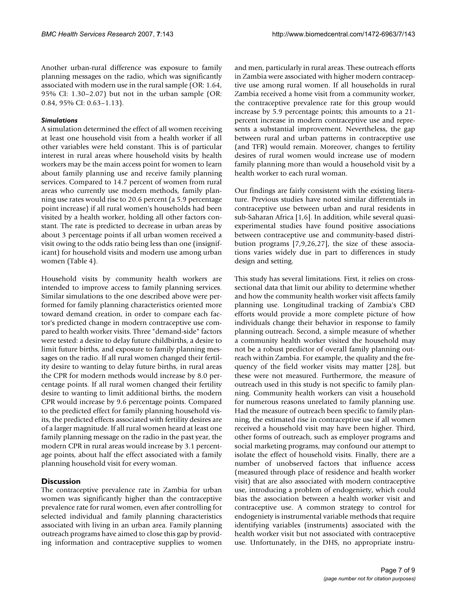Another urban-rural difference was exposure to family planning messages on the radio, which was significantly associated with modern use in the rural sample (OR: 1.64, 95% CI: 1.30–2.07) but not in the urban sample (OR: 0.84, 95% CI: 0.63–1.13).

#### *Simulations*

A simulation determined the effect of all women receiving at least one household visit from a health worker if all other variables were held constant. This is of particular interest in rural areas where household visits by health workers may be the main access point for women to learn about family planning use and receive family planning services. Compared to 14.7 percent of women from rural areas who currently use modern methods, family planning use rates would rise to 20.6 percent (a 5.9 percentage point increase) if all rural women's households had been visited by a health worker, holding all other factors constant. The rate is predicted to decrease in urban areas by about 3 percentage points if all urban women received a visit owing to the odds ratio being less than one (insignificant) for household visits and modern use among urban women (Table 4).

Household visits by community health workers are intended to improve access to family planning services. Similar simulations to the one described above were performed for family planning characteristics oriented more toward demand creation, in order to compare each factor's predicted change in modern contraceptive use compared to health worker visits. Three "demand-side" factors were tested: a desire to delay future childbirths, a desire to limit future births, and exposure to family planning messages on the radio. If all rural women changed their fertility desire to wanting to delay future births, in rural areas the CPR for modern methods would increase by 8.0 percentage points. If all rural women changed their fertility desire to wanting to limit additional births, the modern CPR would increase by 9.6 percentage points. Compared to the predicted effect for family planning household visits, the predicted effects associated with fertility desires are of a larger magnitude. If all rural women heard at least one family planning message on the radio in the past year, the modern CPR in rural areas would increase by 3.1 percentage points, about half the effect associated with a family planning household visit for every woman.

# **Discussion**

The contraceptive prevalence rate in Zambia for urban women was significantly higher than the contraceptive prevalence rate for rural women, even after controlling for selected individual and family planning characteristics associated with living in an urban area. Family planning outreach programs have aimed to close this gap by providing information and contraceptive supplies to women

and men, particularly in rural areas. These outreach efforts in Zambia were associated with higher modern contraceptive use among rural women. If all households in rural Zambia received a home visit from a community worker, the contraceptive prevalence rate for this group would increase by 5.9 percentage points; this amounts to a 21 percent increase in modern contraceptive use and represents a substantial improvement. Nevertheless, the gap between rural and urban patterns in contraceptive use (and TFR) would remain. Moreover, changes to fertility desires of rural women would increase use of modern family planning more than would a household visit by a health worker to each rural woman.

Our findings are fairly consistent with the existing literature. Previous studies have noted similar differentials in contraceptive use between urban and rural residents in sub-Saharan Africa [1,6]. In addition, while several quasiexperimental studies have found positive associations between contraceptive use and community-based distribution programs [7,9,26,27], the size of these associations varies widely due in part to differences in study design and setting.

This study has several limitations. First, it relies on crosssectional data that limit our ability to determine whether and how the community health worker visit affects family planning use. Longitudinal tracking of Zambia's CBD efforts would provide a more complete picture of how individuals change their behavior in response to family planning outreach. Second, a simple measure of whether a community health worker visited the household may not be a robust predictor of overall family planning outreach within Zambia. For example, the quality and the frequency of the field worker visits may matter [28], but these were not measured. Furthermore, the measure of outreach used in this study is not specific to family planning. Community health workers can visit a household for numerous reasons unrelated to family planning use. Had the measure of outreach been specific to family planning, the estimated rise in contraceptive use if all women received a household visit may have been higher. Third, other forms of outreach, such as employer programs and social marketing programs, may confound our attempt to isolate the effect of household visits. Finally, there are a number of unobserved factors that influence access (measured through place of residence and health worker visit) that are also associated with modern contraceptive use, introducing a problem of endogeniety, which could bias the association between a health worker visit and contraceptive use. A common strategy to control for endogeniety is instrumental variable methods that require identifying variables (instruments) associated with the health worker visit but not associated with contraceptive use. Unfortunately, in the DHS, no appropriate instru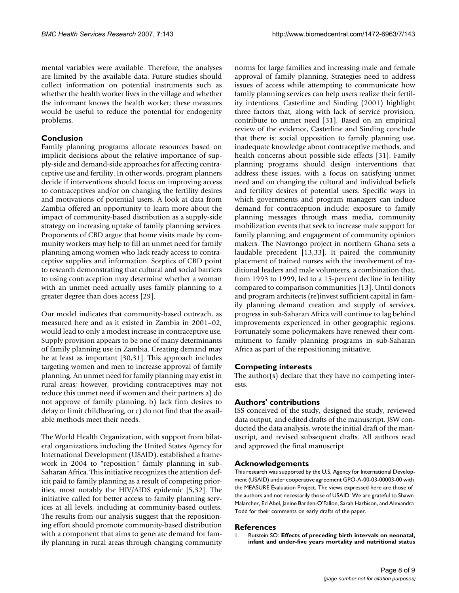mental variables were available. Therefore, the analyses are limited by the available data. Future studies should collect information on potential instruments such as whether the health worker lives in the village and whether the informant knows the health worker; these measures would be useful to reduce the potential for endogenity problems.

# **Conclusion**

Family planning programs allocate resources based on implicit decisions about the relative importance of supply-side and demand-side approaches for affecting contraceptive use and fertility. In other words, program planners decide if interventions should focus on improving access to contraceptives and/or on changing the fertility desires and motivations of potential users. A look at data from Zambia offered an opportunity to learn more about the impact of community-based distribution as a supply-side strategy on increasing uptake of family planning services. Proponents of CBD argue that home visits made by community workers may help to fill an unmet need for family planning among women who lack ready access to contraceptive supplies and information. Sceptics of CBD point to research demonstrating that cultural and social barriers to using contraception may determine whether a woman with an unmet need actually uses family planning to a greater degree than does access [29].

Our model indicates that community-based outreach, as measured here and as it existed in Zambia in 2001–02, would lead to only a modest increase in contraceptive use. Supply provision appears to be one of many determinants of family planning use in Zambia. Creating demand may be at least as important [30,31]. This approach includes targeting women and men to increase approval of family planning. An unmet need for family planning may exist in rural areas; however, providing contraceptives may not reduce this unmet need if women and their partners a) do not approve of family planning, b) lack firm desires to delay or limit childbearing, or c) do not find that the available methods meet their needs.

The World Health Organization, with support from bilateral organizations including the United States Agency for International Development (USAID), established a framework in 2004 to "reposition" family planning in sub-Saharan Africa. This initiative recognizes the attention deficit paid to family planning as a result of competing priorities, most notably the HIV/AIDS epidemic [5,32]. The initiative called for better access to family planning services at all levels, including at community-based outlets. The results from our analysis suggest that the repositioning effort should promote community-based distribution with a component that aims to generate demand for family planning in rural areas through changing community norms for large families and increasing male and female approval of family planning. Strategies need to address issues of access while attempting to communicate how family planning services can help users realize their fertility intentions. Casterline and Sinding (2001) highlight three factors that, along with lack of service provision, contribute to unmet need [31]. Based on an empirical review of the evidence, Casterline and Sinding conclude that there is: social opposition to family planning use, inadequate knowledge about contraceptive methods, and health concerns about possible side effects [31]. Family planning programs should design interventions that address these issues, with a focus on satisfying unmet need and on changing the cultural and individual beliefs and fertility desires of potential users. Specific ways in which governments and program managers can induce demand for contraception include: exposure to family planning messages through mass media, community mobilization events that seek to increase male support for family planning, and engagement of community opinion makers. The Navrongo project in northern Ghana sets a laudable precedent [13,33]. It paired the community placement of trained nurses with the involvement of traditional leaders and male volunteers, a combination that, from 1993 to 1999, led to a 15-percent decline in fertility compared to comparison communities [13]. Until donors and program architects (re)invest sufficient capital in family planning demand creation and supply of services, progress in sub-Saharan Africa will continue to lag behind improvements experienced in other geographic regions. Fortunately some policymakers have renewed their commitment to family planning programs in sub-Saharan Africa as part of the repositioning initiative.

# **Competing interests**

The author(s) declare that they have no competing interests.

# **Authors' contributions**

ISS conceived of the study, designed the study, reviewed data output, and edited drafts of the manuscript. JSW conducted the data analysis, wrote the initial draft of the manuscript, and revised subsequent drafts. All authors read and approved the final manuscript.

# **Acknowledgements**

This research was supported by the U.S. Agency for International Development (USAID) under cooperative agreement GPO-A-00-03-00003-00 with the MEASURE Evaluation Project. The views expressed here are those of the authors and not necessarily those of USAID. We are grateful to Shawn Malarcher, Ed Abel, Janine Barden-O'Fallon, Sarah Harbison, and Alexandra Todd for their comments on early drafts of the paper.

# **References**

Rutstein SO: [Effects of preceding birth intervals on neonatal,](http://www.ncbi.nlm.nih.gov/entrez/query.fcgi?cmd=Retrieve&db=PubMed&dopt=Abstract&list_uids=15820369) **[infant and under-five years mortality and nutritional status](http://www.ncbi.nlm.nih.gov/entrez/query.fcgi?cmd=Retrieve&db=PubMed&dopt=Abstract&list_uids=15820369)**